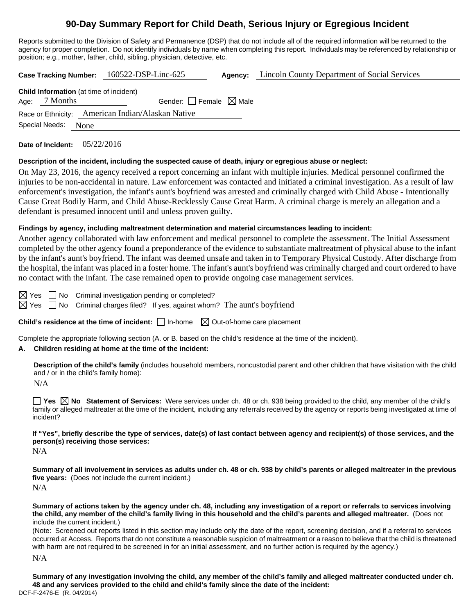# **90-Day Summary Report for Child Death, Serious Injury or Egregious Incident**

Reports submitted to the Division of Safety and Permanence (DSP) that do not include all of the required information will be returned to the agency for proper completion. Do not identify individuals by name when completing this report. Individuals may be referenced by relationship or position; e.g., mother, father, child, sibling, physician, detective, etc.

**Case Tracking Number:** 160522-DSP-Linc-625 **Agency:** Lincoln County Department of Social Services **Child Information** (at time of incident)

| <b>UTHE MILLIMATION</b> (at three of including |                     |                                                   |  |  |  |  |
|------------------------------------------------|---------------------|---------------------------------------------------|--|--|--|--|
|                                                | Age: 7 Months       | Gender: Female $\boxtimes$ Male                   |  |  |  |  |
|                                                |                     | Race or Ethnicity: American Indian/Alaskan Native |  |  |  |  |
|                                                | Special Needs: None |                                                   |  |  |  |  |

**Date of Incident:** 05/22/2016

#### **Description of the incident, including the suspected cause of death, injury or egregious abuse or neglect:**

On May 23, 2016, the agency received a report concerning an infant with multiple injuries. Medical personnel confirmed the injuries to be non-accidental in nature. Law enforcement was contacted and initiated a criminal investigation. As a result of law enforcement's investigation, the infant's aunt's boyfriend was arrested and criminally charged with Child Abuse - Intentionally Cause Great Bodily Harm, and Child Abuse-Recklessly Cause Great Harm. A criminal charge is merely an allegation and a defendant is presumed innocent until and unless proven guilty.

# **Findings by agency, including maltreatment determination and material circumstances leading to incident:**

Another agency collaborated with law enforcement and medical personnel to complete the assessment. The Initial Assessment completed by the other agency found a preponderance of the evidence to substantiate maltreatment of physical abuse to the infant by the infant's aunt's boyfriend. The infant was deemed unsafe and taken in to Temporary Physical Custody. After discharge from the hospital, the infant was placed in a foster home. The infant's aunt's boyfriend was criminally charged and court ordered to have no contact with the infant. The case remained open to provide ongoing case management services.

 $\boxtimes$  Yes  $\Box$  No Criminal investigation pending or completed?

 $\boxtimes$  Yes  $\Box$  No Criminal charges filed? If yes, against whom? The aunt's boyfriend

**Child's residence at the time of incident:**  $\Box$  In-home  $\Box$  Out-of-home care placement

Complete the appropriate following section (A. or B. based on the child's residence at the time of the incident).

#### **A. Children residing at home at the time of the incident:**

**Description of the child's family** (includes household members, noncustodial parent and other children that have visitation with the child and / or in the child's family home):

N/A

**Yes No Statement of Services:** Were services under ch. 48 or ch. 938 being provided to the child, any member of the child's family or alleged maltreater at the time of the incident, including any referrals received by the agency or reports being investigated at time of incident?

**If "Yes", briefly describe the type of services, date(s) of last contact between agency and recipient(s) of those services, and the person(s) receiving those services:** 

N/A

**Summary of all involvement in services as adults under ch. 48 or ch. 938 by child's parents or alleged maltreater in the previous five years:** (Does not include the current incident.) N/A

**Summary of actions taken by the agency under ch. 48, including any investigation of a report or referrals to services involving the child, any member of the child's family living in this household and the child's parents and alleged maltreater.** (Does not include the current incident.)

(Note: Screened out reports listed in this section may include only the date of the report, screening decision, and if a referral to services occurred at Access. Reports that do not constitute a reasonable suspicion of maltreatment or a reason to believe that the child is threatened with harm are not required to be screened in for an initial assessment, and no further action is required by the agency.)

N/A

DCF-F-2476-E (R. 04/2014) **Summary of any investigation involving the child, any member of the child's family and alleged maltreater conducted under ch. 48 and any services provided to the child and child's family since the date of the incident:**